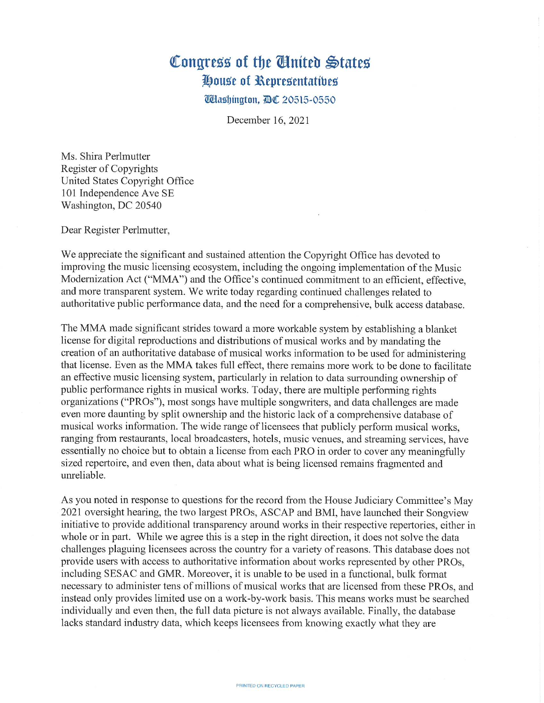## Congress of the Cinited States House of Representatives

**Washington, AC 20515-0550** 

December 16, 2021

Ms. Shira Perlmutter Register of Copyrights United States Copyright Office 101 Independence Ave SE Washington, DC 20540

Dear Register Perlmutter,

We appreciate the significant and sustained attention the Copyright Office has devoted to improving the music licensing ecosystem, including the ongoing implementation of the Music Modernization Act ("MMA") and the Office's continued commitment to an efficient, effective. and more transparent system. We write today regarding continued challenges related to authoritative public performance data, and the need for a comprehensive, bulk access database.

The MMA made significant strides toward a more workable system by establishing a blanket license for digital reproductions and distributions of musical works and by mandating the creation of an authoritative database of musical works information to be used for administering that license. Even as the MMA takes full effect, there remains more work to be done to facilitate an effective music licensing system, particularly in relation to data surrounding ownership of public performance rights in musical works. Today, there are multiple performing rights organizations ("PROs"), most songs have multiple songwriters, and data challenges are made even more daunting by split ownership and the historic lack of a comprehensive database of musical works information. The wide range of licensees that publicly perform musical works, ranging from restaurants, local broadcasters, hotels, music venues, and streaming services, have essentially no choice but to obtain a license from each PRO in order to cover any meaningfully sized repertoire, and even then, data about what is being licensed remains fragmented and unreliable.

As you noted in response to questions for the record from the House Judiciary Committee's May 2021 oversight hearing, the two largest PROs, ASCAP and BMI, have launched their Songview initiative to provide additional transparency around works in their respective repertories, either in whole or in part. While we agree this is a step in the right direction, it does not solve the data challenges plaguing licensees across the country for a variety of reasons. This database does not provide users with access to authoritative information about works represented by other PROs, including SESAC and GMR. Moreover, it is unable to be used in a functional, bulk format necessary to administer tens of millions of musical works that are licensed from these PROs, and instead only provides limited use on a work-by-work basis. This means works must be searched individually and even then, the full data picture is not always available. Finally, the database lacks standard industry data, which keeps licensees from knowing exactly what they are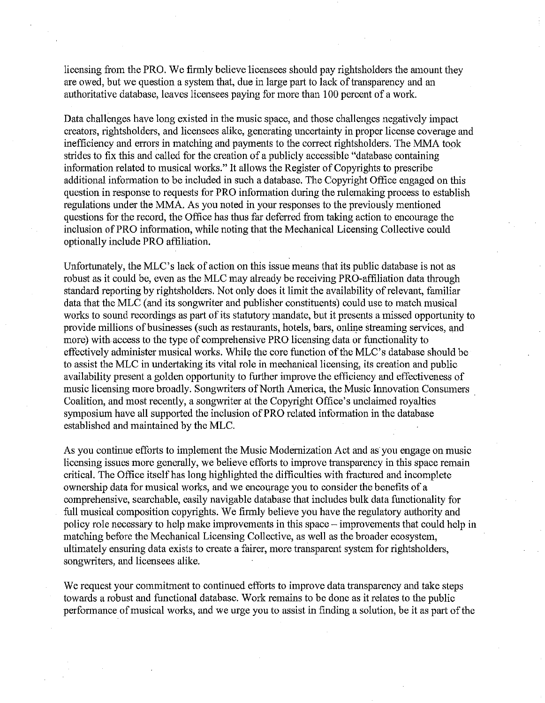licensing from the PRO. We firmly believe licensees should pay rightsholders the amount they are owed, but we question a system that, due in large part to lack of transparency and an authoritative database, leaves licensees paying for more than 100 percent of a work.

Data challenges have long existed in the music space, and those challenges negatively impact creators, rightsholders, and licensees alike, generating uncertainty in proper license coverage and inefficiency and errors in matching and payments to the correct rightsholders. The MMA took strides to fix this and called for the creation of a publicly accessible "database containing information related to musical works." It allows the Register of Copyrights to prescribe additional information to be included in such a database. The Copyright Office engaged on this question in response to requests for PRO information during the rulemaking process to establish regulations under the MMA. As you noted in your responses to the previously mentioned questions for the record, the Office has thus far deferred from taking action to encourage the inclusion of PRO information, while noting that the Mechanical Licensing Collective could optionally include PRO affiliation.

Unfortunately, the MLC's lack of action on this issue means that its public database is not as robust as it could be, even as the MLC may already be receiving PRO-affiliation data through standard reporting by rightsholders. Not only does it limit the availability of relevant, familiar data that the MLC (and its songwriter and publisher constituents) could use to match musical works to sound recordings as part of its statutory mandate, but it presents a missed opportunity to provide millions of businesses (such as restaurants, hotels, bars, online streaming services, and more) with access to the type of comprehensive PRO licensing data or functionality to effectively administer musical works. While the core function of the MLC's database should be to assist the MLC in undertaking its vital role in mechanical licensing, its creation and public availability present a golden opportunity to further improve the efficiency and effectiveness of music licensing more broadly. Songwriters of North America, the Music Innovation Consumers Coalition, and most recently, a songwriter at the Copyright Office's unclaimed royalties symposium have all supported the inclusion of PRO related information in the database established and maintained by the MLC.

As you continue efforts to implement the Music Modernization Act and as you engage on music licensing issues more generally, we believe efforts to improve transparency in this space remain critical. The Office itself has long highlighted the difficulties with fractured and incomplete ownership data for musical works, and we encourage you to consider the benefits of a comprehensive, searchable, easily navigable database that includes bulk data functionality for full musical composition copyrights. We firmly believe you have the regulatory authority and policy role necessary to help make improvements in this space – improvements that could help in matching before the Mechanical Licensing Collective, as well as the broader ecosystem, ultimately ensuring data exists to create a fairer, more transparent system for rightsholders, songwriters, and licensees alike.

We request your commitment to continued efforts to improve data transparency and take steps towards a robust and functional database. Work remains to be done as it relates to the public performance of musical works, and we urge you to assist in finding a solution, be it as part of the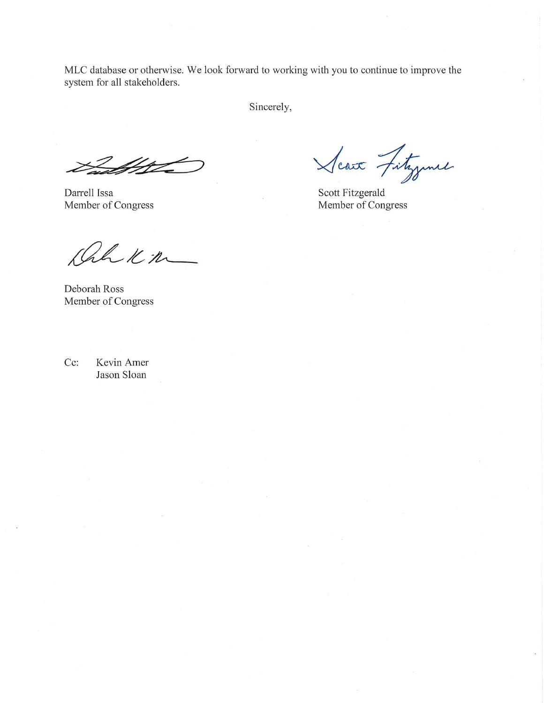MLC database or otherwise. We look forward to working with you to continue to improve the system for all stakeholders.

Sincerely,

 $\cancel{\pi}$ 

Darrell Issa Member of Congress

Scare Fitzgene

Scott Fitzgerald Member of Congress

hh Km

Deborah Ross Member of Congress

Kevin Amer Cc: Jason Sloan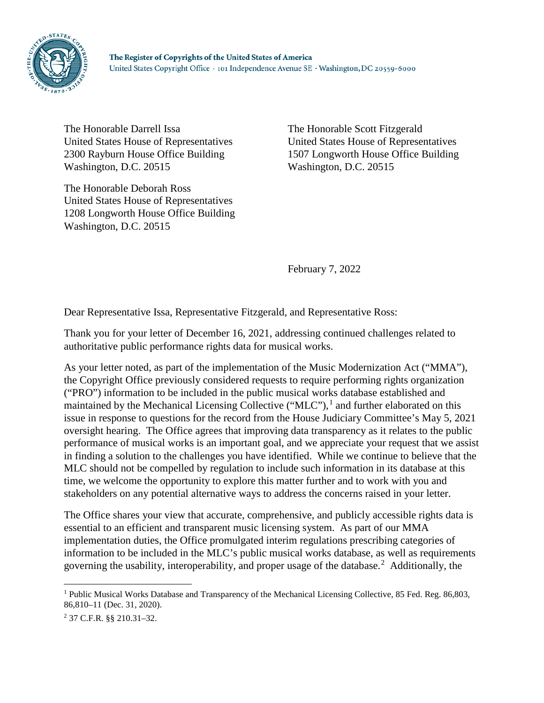

The Honorable Darrell Issa United States House of Representatives 2300 Rayburn House Office Building Washington, D.C. 20515

The Honorable Deborah Ross United States House of Representatives 1208 Longworth House Office Building Washington, D.C. 20515

The Honorable Scott Fitzgerald United States House of Representatives 1507 Longworth House Office Building Washington, D.C. 20515

February 7, 2022

Dear Representative Issa, Representative Fitzgerald, and Representative Ross:

Thank you for your letter of December 16, 2021, addressing continued challenges related to authoritative public performance rights data for musical works.

As your letter noted, as part of the implementation of the Music Modernization Act ("MMA"), the Copyright Office previously considered requests to require performing rights organization ("PRO") information to be included in the public musical works database established and maintained by the Mechanical Licensing Collective ("MLC"),<sup>[1](#page-3-0)</sup> and further elaborated on this issue in response to questions for the record from the House Judiciary Committee's May 5, 2021 oversight hearing. The Office agrees that improving data transparency as it relates to the public performance of musical works is an important goal, and we appreciate your request that we assist in finding a solution to the challenges you have identified. While we continue to believe that the MLC should not be compelled by regulation to include such information in its database at this time, we welcome the opportunity to explore this matter further and to work with you and stakeholders on any potential alternative ways to address the concerns raised in your letter.

The Office shares your view that accurate, comprehensive, and publicly accessible rights data is essential to an efficient and transparent music licensing system. As part of our MMA implementation duties, the Office promulgated interim regulations prescribing categories of information to be included in the MLC's public musical works database, as well as requirements governing the usability, interoperability, and proper usage of the database.<sup>[2](#page-3-1)</sup> Additionally, the

<span id="page-3-0"></span> <sup>1</sup> Public Musical Works Database and Transparency of the Mechanical Licensing Collective, 85 Fed. Reg. 86,803, 86,810–11 (Dec. 31, 2020).

<span id="page-3-1"></span><sup>2</sup> 37 C.F.R. §§ 210.31–32.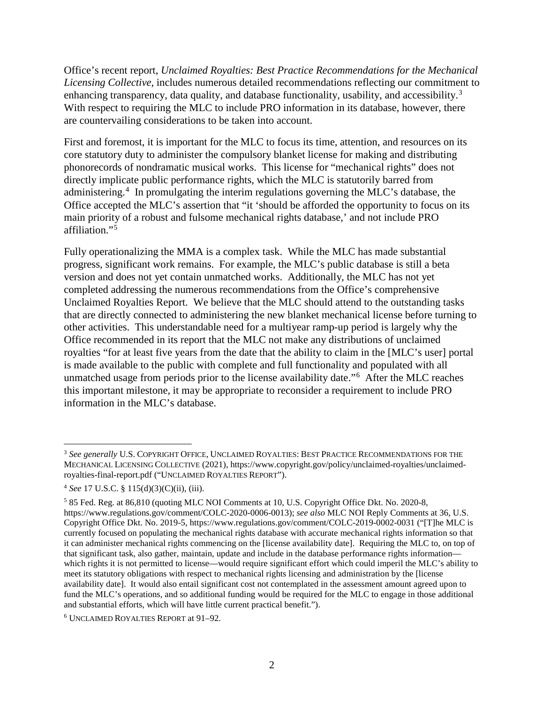Office's recent report, *Unclaimed Royalties: Best Practice Recommendations for the Mechanical Licensing Collective*, includes numerous detailed recommendations reflecting our commitment to enhancing transparency, data quality, and database functionality, usability, and accessibility.<sup>[3](#page-4-0)</sup> With respect to requiring the MLC to include PRO information in its database, however, there are countervailing considerations to be taken into account.

First and foremost, it is important for the MLC to focus its time, attention, and resources on its core statutory duty to administer the compulsory blanket license for making and distributing phonorecords of nondramatic musical works. This license for "mechanical rights" does not directly implicate public performance rights, which the MLC is statutorily barred from administering.<sup>[4](#page-4-1)</sup> In promulgating the interim regulations governing the MLC's database, the Office accepted the MLC's assertion that "it 'should be afforded the opportunity to focus on its main priority of a robust and fulsome mechanical rights database,' and not include PRO affiliation."[5](#page-4-2)

Fully operationalizing the MMA is a complex task. While the MLC has made substantial progress, significant work remains. For example, the MLC's public database is still a beta version and does not yet contain unmatched works. Additionally, the MLC has not yet completed addressing the numerous recommendations from the Office's comprehensive Unclaimed Royalties Report. We believe that the MLC should attend to the outstanding tasks that are directly connected to administering the new blanket mechanical license before turning to other activities. This understandable need for a multiyear ramp-up period is largely why the Office recommended in its report that the MLC not make any distributions of unclaimed royalties "for at least five years from the date that the ability to claim in the [MLC's user] portal is made available to the public with complete and full functionality and populated with all unmatched usage from periods prior to the license availability date."<sup>[6](#page-4-3)</sup> After the MLC reaches this important milestone, it may be appropriate to reconsider a requirement to include PRO information in the MLC's database.

<span id="page-4-0"></span> <sup>3</sup> *See generally* U.S. COPYRIGHT OFFICE, UNCLAIMED ROYALTIES: BEST PRACTICE RECOMMENDATIONS FOR THE MECHANICAL LICENSING COLLECTIVE (2021), https://www.copyright.gov/policy/unclaimed-royalties/unclaimedroyalties-final-report.pdf ("UNCLAIMED ROYALTIES REPORT").

<span id="page-4-1"></span><sup>4</sup> *See* 17 U.S.C. § 115(d)(3)(C)(ii), (iii).

<span id="page-4-2"></span><sup>5</sup> 85 Fed. Reg. at 86,810 (quoting MLC NOI Comments at 10, U.S. Copyright Office Dkt. No. 2020-8, https://www.regulations.gov/comment/COLC-2020-0006-0013); *see also* MLC NOI Reply Comments at 36, U.S. Copyright Office Dkt. No. 2019-5, https://www.regulations.gov/comment/COLC-2019-0002-0031 ("[T]he MLC is currently focused on populating the mechanical rights database with accurate mechanical rights information so that it can administer mechanical rights commencing on the [license availability date]. Requiring the MLC to, on top of that significant task, also gather, maintain, update and include in the database performance rights information which rights it is not permitted to license—would require significant effort which could imperil the MLC's ability to meet its statutory obligations with respect to mechanical rights licensing and administration by the [license availability date]. It would also entail significant cost not contemplated in the assessment amount agreed upon to fund the MLC's operations, and so additional funding would be required for the MLC to engage in those additional and substantial efforts, which will have little current practical benefit.").

<span id="page-4-3"></span><sup>6</sup> UNCLAIMED ROYALTIES REPORT at 91–92.